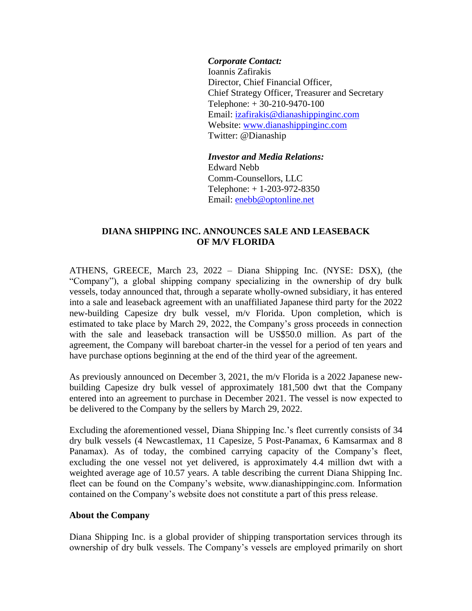## *Corporate Contact:*

Ioannis Zafirakis Director, Chief Financial Officer, Chief Strategy Officer, Treasurer and Secretary Telephone: + 30-210-9470-100 Email: izafirakis@dianashippinginc.com Website: [www.dianashippinginc.com](http://www.dianashippinginc.com/) Twitter: @Dianaship

*Investor and Media Relations:* Edward Nebb Comm-Counsellors, LLC Telephone: + 1-203-972-8350 Email: enebb@optonline.net

## **DIANA SHIPPING INC. ANNOUNCES SALE AND LEASEBACK OF M/V FLORIDA**

ATHENS, GREECE, March 23, 2022 – Diana Shipping Inc. (NYSE: DSX), (the "Company"), a global shipping company specializing in the ownership of dry bulk vessels, today announced that, through a separate wholly-owned subsidiary, it has entered into a sale and leaseback agreement with an unaffiliated Japanese third party for the 2022 new-building Capesize dry bulk vessel, m/v Florida. Upon completion, which is estimated to take place by March 29, 2022, the Company's gross proceeds in connection with the sale and leaseback transaction will be US\$50.0 million. As part of the agreement, the Company will bareboat charter-in the vessel for a period of ten years and have purchase options beginning at the end of the third year of the agreement.

As previously announced on December 3, 2021, the m/v Florida is a 2022 Japanese newbuilding Capesize dry bulk vessel of approximately 181,500 dwt that the Company entered into an agreement to purchase in December 2021. The vessel is now expected to be delivered to the Company by the sellers by March 29, 2022.

Excluding the aforementioned vessel, Diana Shipping Inc.'s fleet currently consists of 34 dry bulk vessels (4 Newcastlemax, 11 Capesize, 5 Post-Panamax, 6 Kamsarmax and 8 Panamax). As of today, the combined carrying capacity of the Company's fleet, excluding the one vessel not yet delivered, is approximately 4.4 million dwt with a weighted average age of 10.57 years. A table describing the current Diana Shipping Inc. fleet can be found on the Company's website, www.dianashippinginc.com. Information contained on the Company's website does not constitute a part of this press release.

## **About the Company**

Diana Shipping Inc. is a global provider of shipping transportation services through its ownership of dry bulk vessels. The Company's vessels are employed primarily on short